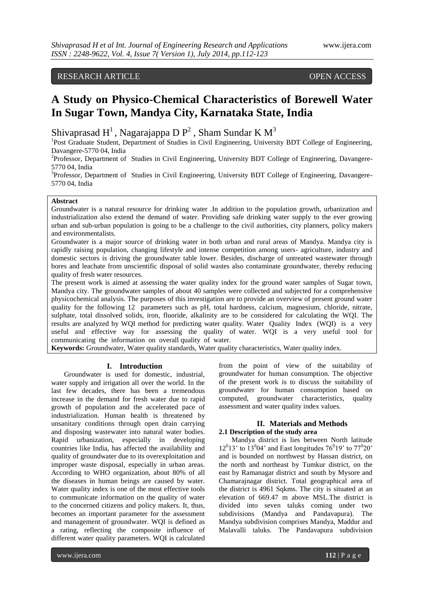# RESEARCH ARTICLE OPEN ACCESS

# **A Study on Physico-Chemical Characteristics of Borewell Water In Sugar Town, Mandya City, Karnataka State, India**

Shivaprasad H<sup>1</sup>, Nagarajappa D  $P^2$ , Sham Sundar K M<sup>3</sup>

<sup>1</sup>Post Graduate Student, Department of Studies in Civil Engineering, University BDT College of Engineering, Davangere-5770 04, India

<sup>2</sup>Professor, Department of Studies in Civil Engineering, University BDT College of Engineering, Davangere-5770 04, India

<sup>3</sup>Professor, Department of Studies in Civil Engineering, University BDT College of Engineering, Davangere-5770 04, India

# **Abstract**

Groundwater is a natural resource for drinking water *.*In addition to the population growth, urbanization and industrialization also extend the demand of water. Providing safe drinking water supply to the ever growing urban and sub-urban population is going to be a challenge to the civil authorities, city planners, policy makers and environmentalists.

Groundwater is a major source of drinking water in both urban and rural areas of Mandya. Mandya city is rapidly raising population, changing lifestyle and intense competition among users- agriculture, industry and domestic sectors is driving the groundwater table lower. Besides, discharge of untreated wastewater through bores and leachate from unscientific disposal of solid wastes also contaminate groundwater, thereby reducing quality of fresh water resources.

The present work is aimed at assessing the water quality index for the ground water samples of Sugar town, Mandya city. The groundwater samples of about 40 samples were collected and subjected for a comprehensive physicochemical analysis. The purposes of this investigation are to provide an overview of present ground water quality for the following 12 parameters such as pH, total hardness, calcium, magnesium, chloride, nitrate, sulphate, total dissolved solids, iron, fluoride, alkalinity are to be considered for calculating the WQI. The results are analyzed by WQI method for predicting water quality. Water Quality Index (WQI) is a very useful and effective way for assessing the quality of water. WQI is a very useful tool for communicating the information on overall quality of water.

**Keywords:** Groundwater, Water quality standards, Water quality characteristics, Water quality index.

#### **I. Introduction**

Groundwater is used for domestic, industrial, water supply and irrigation all over the world. In the last few decades, there has been a tremendous increase in the demand for fresh water due to rapid growth of population and the accelerated pace of industrialization. Human health is threatened by unsanitary conditions through open drain carrying and disposing wastewater into natural water bodies. Rapid urbanization, especially in developing countries like India, has affected the availability and quality of groundwater due to its overexploitation and improper waste disposal, especially in urban areas. According to WHO organization, about 80% of all the diseases in human beings are caused by water. Water quality index is one of the most effective tools to communicate information on the quality of water to the concerned citizens and policy makers. It, thus, becomes an important parameter for the assessment and management of groundwater. WQI is defined as a rating, reflecting the composite influence of different water quality parameters. WQI is calculated

from the point of view of the suitability of groundwater for human consumption. The objective of the present work is to discuss the suitability of groundwater for human consumption based on computed, groundwater characteristics, quality assessment and water quality index values.

# **II. Materials and Methods 2.1 Description of the study area**

Mandya district is lies between North latitude  $12^{0}13'$  to  $13^{0}04'$  and East longitudes  $76^{0}19'$  to  $77^{0}20'$ and is bounded on northwest by Hassan district, on the north and northeast by Tumkur district, on the east by Ramanagar district and south by Mysore and Chamarajnagar district. Total geographical area of the district is 4961 Sqkms. The city is situated at an elevation of 669.47 m above MSL.The district is divided into seven taluks coming under two subdivisions (Mandya and Pandavapura). The Mandya subdivision comprises Mandya, Maddur and Malavalli taluks. The Pandavapura subdivision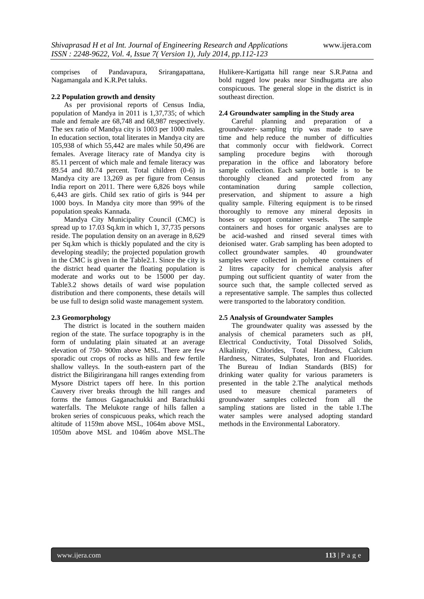comprises of Pandavapura, Srirangapattana, Nagamangala and K.R.Pet taluks.

# **2.2 Population growth and density**

As per provisional reports of Census India, population of Mandya in 2011 is 1,37,735; of which male and female are 68,748 and 68,987 respectively. The sex ratio of Mandya city is 1003 per 1000 males. In education section, total literates in Mandya city are 105,938 of which 55,442 are males while 50,496 are females. Average literacy rate of Mandya city is 85.11 percent of which male and female literacy was 89.54 and 80.74 percent. Total children (0-6) in Mandya city are 13,269 as per figure from Census India report on 2011. There were 6,826 boys while 6,443 are girls. Child sex ratio of girls is 944 per 1000 boys. In Mandya city more than 99% of the population speaks Kannada.

Mandya City Municipality Council (CMC) is spread up to 17.03 Sq.km in which 1, 37,735 persons reside. The population density on an average in 8,629 per Sq.km which is thickly populated and the city is developing steadily; the projected population growth in the CMC is given in the Table2.1. Since the city is the district head quarter the floating population is moderate and works out to be 15000 per day. Table3.2 shows details of ward wise population distribution and there components, these details will be use full to design solid waste management system.

# **2.3 Geomorphology**

The district is located in the southern maiden region of the state. The surface topography is in the form of undulating plain situated at an average elevation of 750- 900m above MSL. There are few sporadic out crops of rocks as hills and few fertile shallow valleys. In the south-eastern part of the district the Biligirirangana hill ranges extending from Mysore District tapers off here. In this portion Cauvery river breaks through the hill ranges and forms the famous Gaganachukki and Barachukki waterfalls. The Melukote range of hills fallen a broken series of conspicuous peaks, which reach the altitude of 1159m above MSL, 1064m above MSL, 1050m above MSL and 1046m above MSL.The

Hulikere-Kartigatta hill range near S.R.Patna and bold rugged low peaks near Sindhugatta are also conspicuous. The general slope in the district is in southeast direction.

# **2.4 Groundwater sampling in the Study area**

Careful planning and preparation of a groundwater- sampling trip was made to save time and help reduce the number of difficulties that commonly occur with fieldwork. Correct sampling procedure begins with thorough preparation in the office and laboratory before sample collection. Each sample bottle is to be thoroughly cleaned and protected from any contamination during sample collection, preservation, and shipment to assure a high quality sample. Filtering equipment is to be rinsed thoroughly to remove any mineral deposits in hoses or support container vessels. The sample containers and hoses for organic analyses are to be acid-washed and rinsed several times with deionised water. Grab sampling has been adopted to collect groundwater samples. 40 groundwater samples were collected in polythene containers of 2 litres capacity for chemical analysis after pumping out sufficient quantity of water from the source such that, the sample collected served as a representative sample. The samples thus collected were transported to the laboratory condition.

# **2.5 Analysis of Groundwater Samples**

The groundwater quality was assessed by the analysis of chemical parameters such as pH, Electrical Conductivity, Total Dissolved Solids, Alkalinity, Chlorides, Total Hardness, Calcium Hardness, Nitrates, Sulphates, Iron and Fluorides. The Bureau of Indian Standards (BIS) for drinking water quality for various parameters is presented in the table 2.The analytical methods used to measure chemical parameters of groundwater samples collected from all the sampling stations are listed in the table 1.The water samples were analysed adopting standard methods in the Environmental Laboratory.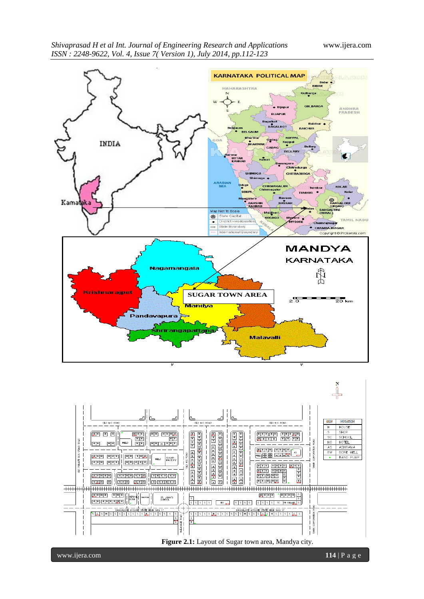



**Figure 2.1:** Layout of Sugar town area, Mandya city.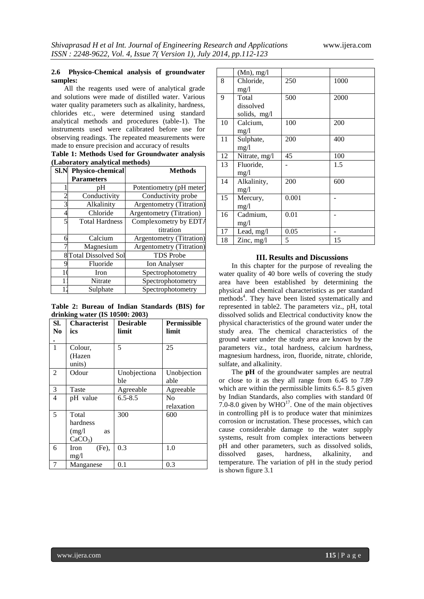# **2.6 Physico-Chemical analysis of groundwater samples:**

All the reagents used were of analytical grade and solutions were made of distilled water. Various water quality parameters such as alkalinity, hardness, chlorides etc., were determined using standard analytical methods and procedures (table-1). The instruments used were calibrated before use for observing readings. The repeated measurements were made to ensure precision and accuracy of results

**Table 1: Methods Used for Groundwater analysis (Laboratory analytical methods)**

| SI.N | Physico-chemical      | <b>Methods</b>           |
|------|-----------------------|--------------------------|
|      | <b>Parameters</b>     |                          |
|      | рH                    | Potentiometry (pH meter) |
|      | Conductivity          | Conductivity probe       |
| 3    | Alkalinity            | Argentometry (Titration) |
| 4    | Chloride              | Argentometry (Titration) |
| 5    | <b>Total Hardness</b> | Complexometry by EDTA    |
|      |                       | titration                |
| 6    | Calcium               | Argentometry (Titration) |
|      | Magnesium             | Argentometry (Titration) |
|      | 8 Total Dissolved Sol | <b>TDS</b> Probe         |
| Ω    | Fluoride              | <b>Ion Analyser</b>      |
|      | Iron                  | Spectrophotometry        |
|      | Nitrate               | Spectrophotometry        |
|      | Sulphate              | Spectrophotometry        |

**Table 2: Bureau of Indian Standards (BIS) for drinking water (IS 10500: 2003)**

| SI.<br>N <sub>0</sub> | <b>Characterist</b><br>ics                     | <b>Desirable</b><br>limit | <b>Permissible</b><br>limit |
|-----------------------|------------------------------------------------|---------------------------|-----------------------------|
| $\mathbf{1}$          | Colour,<br>(Hazen<br>units)                    | 5                         | 25                          |
| 2                     | Odour                                          | Unobjectiona<br>ble       | Unobjection<br>able         |
| 3                     | Taste                                          | Agreeable                 | Agreeable                   |
| 4                     | pH value                                       | $6.5 - 8.5$               | No<br>relaxation            |
| 5                     | Total<br>hardness<br>(mg/l)<br>as<br>$CaCO3$ ) | 300                       | 600                         |
| 6                     | $(Fe)$ ,<br>Iron<br>mg/1                       | 0.3                       | 1.0                         |
| 7                     | Manganese                                      | $0.1\,$                   | 0.3                         |

|    | $(Mn)$ , mg/l |       |      |
|----|---------------|-------|------|
| 8  | Chloride,     | 250   | 1000 |
|    | mg/l          |       |      |
| 9  | Total         | 500   | 2000 |
|    | dissolved     |       |      |
|    | solids, mg/l  |       |      |
| 10 | Calcium,      | 100   | 200  |
|    | mg/l          |       |      |
| 11 | Sulphate,     | 200   | 400  |
|    | mg/l          |       |      |
| 12 | Nitrate, mg/l | 45    | 100  |
| 13 | Fluoride,     |       | 1.5  |
|    | mg/1          |       |      |
| 14 | Alkalinity,   | 200   | 600  |
|    | mg/1          |       |      |
| 15 | Mercury,      | 0.001 |      |
|    | mg/1          |       |      |
| 16 | Cadmium,      | 0.01  |      |
|    | mg/1          |       |      |
| 17 | Lead, mg/l    | 0.05  |      |
| 18 | Zinc, $mg/l$  | 5     | 15   |

#### **III. Results and Discussions**

In this chapter for the purpose of revealing the water quality of 40 bore wells of covering the study area have been established by determining the physical and chemical characteristics as per standard methods<sup>4</sup>. They have been listed systematically and represented in table2. The parameters viz., pH, total dissolved solids and Electrical conductivity know the physical characteristics of the ground water under the study area. The chemical characteristics of the ground water under the study area are known by the parameters viz., total hardness, calcium hardness, magnesium hardness, iron, fluoride, nitrate, chloride, sulfate, and alkalinity.

The **pH** of the groundwater samples are neutral or close to it as they all range from 6.45 to 7.89 which are within the permissible limits 6.5-8.5 given by Indian Standards, also complies with standard 0f 7.0-8.0 given by  $WHO^{17}$ . One of the main objectives in controlling pH is to produce water that minimizes corrosion or incrustation. These processes, which can cause considerable damage to the water supply systems, result from complex interactions between pH and other parameters, such as dissolved solids, dissolved gases, hardness, alkalinity, and temperature. The variation of pH in the study period is shown figure 3.1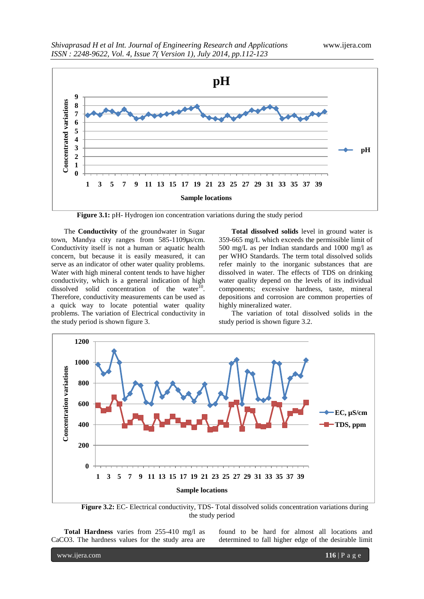

**Figure 3.1:** pH- Hydrogen ion concentration variations during the study period

The **Conductivity** of the groundwater in Sugar town, Mandya city ranges from 585-1109μs/cm. Conductivity itself is not a human or aquatic health concern, but because it is easily measured, it can serve as an indicator of other water quality problems. Water with high mineral content tends to have higher conductivity, which is a general indication of high dissolved solid concentration of the water $\overline{10}$ . Therefore, conductivity measurements can be used as a quick way to locate potential water quality problems. The variation of Electrical conductivity in the study period is shown figure 3.

**Total dissolved solids** level in ground water is 359-665 mg/L which exceeds the permissible limit of 500 mg/L as per Indian standards and 1000 mg/l as per WHO Standards. The term total dissolved solids refer mainly to the inorganic substances that are dissolved in water. The effects of TDS on drinking water quality depend on the levels of its individual components; excessive hardness, taste, mineral depositions and corrosion are common properties of highly mineralized water.

The variation of total dissolved solids in the study period is shown figure 3.2.



**Figure 3.2:** EC- Electrical conductivity, TDS- Total dissolved solids concentration variations during the study period

**Total Hardness** varies from 255-410 mg/l as CaCO3. The hardness values for the study area are

found to be hard for almost all locations and determined to fall higher edge of the desirable limit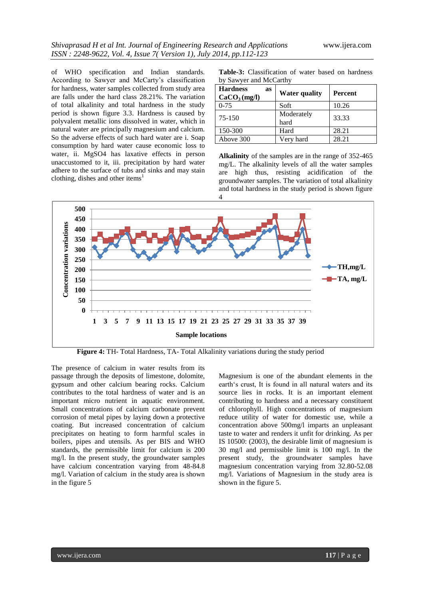of WHO specification and Indian standards. According to Sawyer and McCarty"s classification for hardness, water samples collected from study area are falls under the hard class 28.21%. The variation of total alkalinity and total hardness in the study period is shown figure 3.3. Hardness is caused by polyvalent metallic ions dissolved in water, which in natural water are principally magnesium and calcium. So the adverse effects of such hard water are i. Soap consumption by hard water cause economic loss to water, ii. MgSO4 has laxative effects in person unaccustomed to it, iii. precipitation by hard water adhere to the surface of tubs and sinks and may stain clothing, dishes and other items<sup>1</sup>

**Table-3:** Classification of water based on hardness by Sawyer and McCarthy

| <b>Hardness</b><br>as<br>CaCO <sub>3</sub> (mg/l) | <b>Water quality</b> | Percent |
|---------------------------------------------------|----------------------|---------|
| $0 - 75$                                          | Soft                 | 10.26   |
| 75-150                                            | Moderately<br>hard   | 33.33   |
| 150-300                                           | Hard                 | 28.21   |
| Above 300                                         | Very hard            | 28.21   |

**Alkalinity** of the samples are in the range of 352-465 mg/L. The alkalinity levels of all the water samples are high thus, resisting acidification of the groundwater samples. The variation of total alkalinity and total hardness in the study period is shown figure 4



**Figure 4:** TH- Total Hardness, TA- Total Alkalinity variations during the study period

The presence of calcium in water results from its passage through the deposits of limestone, dolomite, gypsum and other calcium bearing rocks. Calcium contributes to the total hardness of water and is an important micro nutrient in aquatic environment. Small concentrations of calcium carbonate prevent corrosion of metal pipes by laying down a protective coating. But increased concentration of calcium precipitates on heating to form harmful scales in boilers, pipes and utensils. As per BIS and WHO standards, the permissible limit for calcium is 200 mg/l. In the present study, the groundwater samples have calcium concentration varying from 48-84.8 mg/l. Variation of calcium in the study area is shown in the figure 5

Magnesium is one of the abundant elements in the earth's crust, It is found in all natural waters and its source lies in rocks. It is an important element contributing to hardness and a necessary constituent of chlorophyll. High concentrations of magnesium reduce utility of water for domestic use, while a concentration above 500mg/l imparts an unpleasant taste to water and renders it unfit for drinking. As per IS 10500: (2003), the desirable limit of magnesium is 30 mg/l and permissible limit is 100 mg/l. In the present study, the groundwater samples have magnesium concentration varying from 32.80-52.08 mg/l. Variations of Magnesium in the study area is shown in the figure 5.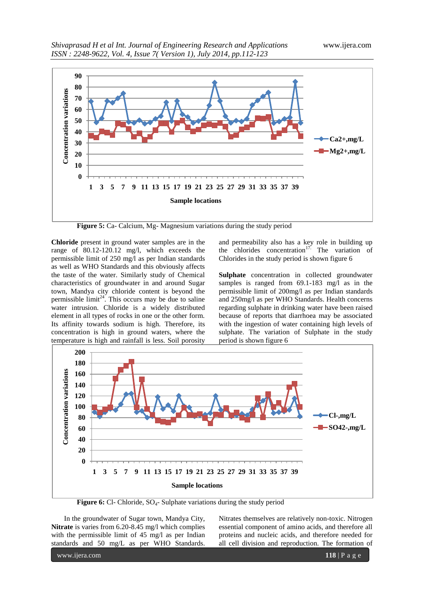

**Figure 5:** Ca- Calcium, Mg- Magnesium variations during the study period

**Chloride** present in ground water samples are in the range of 80.12-120.12 mg/l, which exceeds the permissible limit of 250 mg/l as per Indian standards as well as WHO Standards and this obviously affects the taste of the water. Similarly study of Chemical characteristics of groundwater in and around Sugar town, Mandya city chloride content is beyond the permissible  $\lim_{x \to 4} t^{24}$ . This occurs may be due to saline water intrusion. Chloride is a widely distributed element in all types of rocks in one or the other form. Its affinity towards sodium is high. Therefore, its concentration is high in ground waters, where the temperature is high and rainfall is less. Soil porosity

and permeability also has a key role in building up the chlorides concentration<sup>17.</sup> The variation of Chlorides in the study period is shown figure 6

**Sulphate** concentration in collected groundwater samples is ranged from 69.1-183 mg/l as in the permissible limit of 200mg/l as per Indian standards and 250mg/l as per WHO Standards. Health concerns regarding sulphate in drinking water have been raised because of reports that diarrhoea may be associated with the ingestion of water containing high levels of sulphate. The variation of Sulphate in the study period is shown figure 6



**Figure 6:** Cl- Chloride, SO<sub>4</sub>- Sulphate variations during the study period

In the groundwater of Sugar town, Mandya City, **Nitrate** is varies from 6.20-8.45 mg/l which complies with the permissible limit of 45 mg/l as per Indian standards and 50 mg/L as per WHO Standards.

Nitrates themselves are relatively non-toxic. Nitrogen essential component of amino acids, and therefore all proteins and nucleic acids, and therefore needed for all cell division and reproduction. The formation of

www.ijera.com **118** | P a g e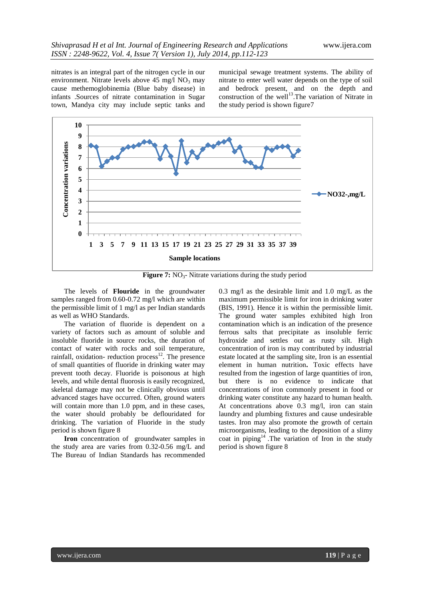nitrates is an integral part of the nitrogen cycle in our environment. Nitrate levels above  $45 \text{ mg/l}$  NO<sub>3</sub> may cause methemoglobinemia (Blue baby disease) in infants .Sources of nitrate contamination in Sugar town, Mandya city may include septic tanks and

municipal sewage treatment systems. The ability of nitrate to enter well water depends on the type of soil and bedrock present, and on the depth and construction of the well<sup>13</sup>. The variation of Nitrate in the study period is shown figure7



**Figure 7:** NO<sub>3</sub>- Nitrate variations during the study period

The levels of **Flouride** in the groundwater samples ranged from 0.60-0.72 mg/l which are within the permissible limit of 1 mg/l as per Indian standards as well as WHO Standards.

The variation of fluoride is dependent on a variety of factors such as amount of soluble and insoluble fluoride in source rocks, the duration of contact of water with rocks and soil temperature, rainfall, oxidation- reduction process $^{12}$ . The presence of small quantities of fluoride in drinking water may prevent tooth decay. Fluoride is poisonous at high levels, and while dental fluorosis is easily recognized, skeletal damage may not be clinically obvious until advanced stages have occurred. Often, ground waters will contain more than 1.0 ppm, and in these cases, the water should probably be deflouridated for drinking. The variation of Fluoride in the study period is shown figure 8

**Iron** concentration of groundwater samples in the study area are varies from 0.32-0.56 mg/L and The Bureau of Indian Standards has recommended 0.3 mg/l as the desirable limit and 1.0 mg/L as the maximum permissible limit for iron in drinking water (BIS, 1991). Hence it is within the permissible limit. The ground water samples exhibited high Iron contamination which is an indication of the presence ferrous salts that precipitate as insoluble ferric hydroxide and settles out as rusty silt. High concentration of iron is may contributed by industrial estate located at the sampling site, Iron is an essential element in human nutrition**.** Toxic effects have resulted from the ingestion of large quantities of iron, but there is no evidence to indicate that concentrations of iron commonly present in food or drinking water constitute any hazard to human health. At concentrations above 0.3 mg/l, iron can stain laundry and plumbing fixtures and cause undesirable tastes. Iron may also promote the growth of certain microorganisms, leading to the deposition of a slimy coat in  $\text{pipping}^{14}$ . The variation of Iron in the study period is shown figure 8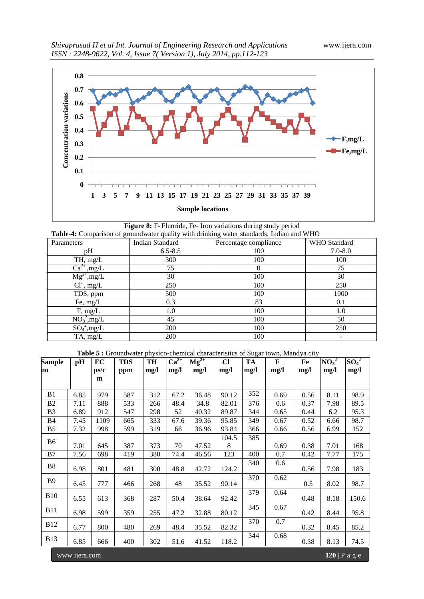

**Figure 8:** F- Fluoride, Fe- Iron variations during study period **Table-4:** Comparison of groundwater quality with drinking water standards, Indian and WHO

| Parameters                                     | Indian Standard | Percentage compliance | WHO Standard |
|------------------------------------------------|-----------------|-----------------------|--------------|
| pH                                             | $6.5 - 8.5$     | 100                   | $7.0 - 8.0$  |
| TH, mg/L                                       | 300             | 100                   | 100          |
| $\overline{\text{Ca}^{2+},\text{mg}/\text{L}}$ | 75              | $\theta$              | 75           |
| $\overline{\text{Mg}^{2+},\text{mg/L}}$        | 30              | 100                   | 30           |
| $Cl^{\cdot}$ , mg/L                            | 250             | 100                   | 250          |
| TDS, ppm                                       | 500             | 100                   | 1000         |
| Fe, $mg/L$                                     | 0.3             | 83                    | 0.1          |
| F, mg/L                                        | 1.0             | 100                   | 1.0          |
| $NO_3^2$ , mg/L                                | 45              | 100                   | 50           |
| $SO_4^2$ , mg/L                                | 200             | 100                   | 250          |
| TA, mg/L                                       | 200             | 100                   |              |

Table 5 : Groundwater physico-chemical characteristics of Sugar town, Mandya city

| <b>Sample</b>  | pН            | EC        | <b>TDS</b> | $P1$ y $P2$<br><b>TH</b> | $Ca^{2+}$ | $\overline{\text{Mg}^{2+}}$ | $CI$  | TA   | ar enaraeteristics or Bugar to Mi, manufa en j<br>$\mathbf{F}$ | Fe   | NO <sub>3</sub> <sup>2</sup> | $SO_4^2$ |
|----------------|---------------|-----------|------------|--------------------------|-----------|-----------------------------|-------|------|----------------------------------------------------------------|------|------------------------------|----------|
| no             |               | $\mu$ s/c | ppm        | mg/l                     | mg/l      | mg/l                        | mg/l  | mg/l | mg/l                                                           | mg/l | mg/l                         | mg/l     |
|                |               | m         |            |                          |           |                             |       |      |                                                                |      |                              |          |
| B1             | 6.85          | 979       | 587        | 312                      | 67.2      | 36.48                       | 90.12 | 352  | 0.69                                                           | 0.56 | 8.11                         | 98.9     |
| B2             | 7.11          | 888       | 533        | 266                      | 48.4      | 34.8                        | 82.01 | 376  | 0.6                                                            | 0.37 | 7.98                         | 89.5     |
| B <sub>3</sub> | 6.89          | 912       | 547        | 298                      | 52        | 40.32                       | 89.87 | 344  | 0.65                                                           | 0.44 | 6.2                          | 95.3     |
| <b>B</b> 4     | 7.45          | 1109      | 665        | 333                      | 67.6      | 39.36                       | 95.85 | 349  | 0.67                                                           | 0.52 | 6.66                         | 98.7     |
| B <sub>5</sub> | 7.32          | 998       | 599        | 319                      | 66        | 36.96                       | 93.84 | 366  | 0.66                                                           | 0.56 | 6.99                         | 152      |
|                |               |           |            |                          |           |                             | 104.5 | 385  |                                                                |      |                              |          |
| <b>B6</b>      | 7.01          | 645       | 387        | 373                      | 70        | 47.52                       | 8     |      | 0.69                                                           | 0.38 | 7.01                         | 168      |
| B7             | 7.56          | 698       | 419        | 380                      | 74.4      | 46.56                       | 123   | 400  | 0.7                                                            | 0.42 | 7.77                         | 175      |
| B8             | 6.98          | 801       | 481        | 300                      | 48.8      | 42.72                       | 124.2 | 340  | 0.6                                                            | 0.56 | 7.98                         | 183      |
| <b>B9</b>      | 6.45          | 777       | 466        | 268                      | 48        | 35.52                       | 90.14 | 370  | 0.62                                                           | 0.5  | 8.02                         | 98.7     |
| <b>B10</b>     | 6.55          | 613       | 368        | 287                      | 50.4      | 38.64                       | 92.42 | 379  | 0.64                                                           | 0.48 | 8.18                         | 150.6    |
| <b>B11</b>     | 6.98          | 599       | 359        | 255                      | 47.2      | 32.88                       | 80.12 | 345  | 0.67                                                           | 0.42 | 8.44                         | 95.8     |
| <b>B12</b>     | 6.77          | 800       | 480        | 269                      | 48.4      | 35.52                       | 82.32 | 370  | 0.7                                                            | 0.32 | 8.45                         | 85.2     |
| <b>B</b> 13    | 6.85          | 666       | 400        | 302                      | 51.6      | 41.52                       | 118.2 | 344  | 0.68                                                           | 0.38 | 8.13                         | 74.5     |
|                | www.ijera.com |           |            |                          |           |                             |       |      |                                                                |      | $120$   P a g e              |          |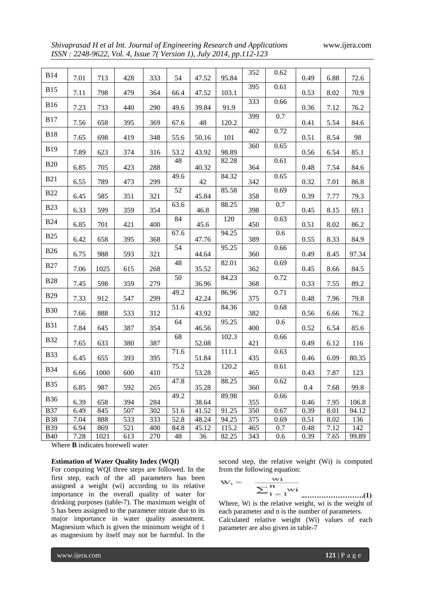*Shivaprasad H et al Int. Journal of Engineering Research and Applications* www.ijera.com *ISSN : 2248-9622, Vol. 4, Issue 7( Version 1), July 2014, pp.112-123*

| 352<br>0.62<br><b>B14</b><br>7.01<br>95.84<br>72.6<br>713<br>428<br>333<br>54<br>47.52<br>0.49<br>6.88<br>395<br>0.61<br><b>B15</b><br>70.9<br>7.11<br>798<br>479<br>364<br>66.4<br>47.52<br>103.1<br>0.53<br>8.02<br>333<br>0.66<br><b>B16</b><br>7.23<br>733<br>290<br>49.6<br>39.84<br>91.9<br>76.2<br>440<br>0.36<br>7.12<br>399<br>0.7<br><b>B17</b><br>48<br>7.56<br>658<br>395<br>369<br>120.2<br>5.54<br>84.6<br>67.6<br>0.41<br>0.72<br>402<br><b>B18</b><br>98<br>7.65<br>698<br>419<br>348<br>50.16<br>0.51<br>55.6<br>101<br>8.54<br>360<br>0.65<br><b>B19</b><br>7.89<br>623<br>53.2<br>43.92<br>98.89<br>85.1<br>374<br>316<br>0.56<br>6.54<br>48<br>0.61<br>82.28<br><b>B20</b><br>6.85<br>705<br>423<br>288<br>40.32<br>364<br>0.48<br>84.6<br>7.54<br>84.32<br>49.6<br>0.65<br><b>B21</b><br>6.55<br>789<br>299<br>473<br>42<br>342<br>0.32<br>7.01<br>86.8<br>52<br>0.69<br>85.58<br><b>B22</b><br>6.45<br>585<br>45.84<br>358<br>0.39<br>79.3<br>351<br>321<br>7.77<br>88.25<br>0.7<br>63.6<br><b>B23</b><br>6.33<br>599<br>359<br>354<br>46.8<br>398<br>0.45<br>69.1<br>8.15<br>84<br>120<br>0.63<br><b>B24</b><br>6.85<br>45.6<br>450<br>86.2<br>701<br>421<br>400<br>0.51<br>8.02<br>67.6<br>94.25<br>0.6<br><b>B25</b><br>389<br>6.42<br>658<br>395<br>368<br>47.76<br>0.55<br>84.9<br>8.33<br>54<br>95.25<br>0.66<br><b>B26</b><br>988<br>44.64<br>0.49<br>6.75<br>593<br>321<br>360<br>8.45<br>97.34<br>48<br>82.01<br>0.69<br><b>B27</b><br>7.06<br>1025<br>268<br>362<br>84.5<br>615<br>35.52<br>0.45<br>8.66<br>50<br>84.23<br>0.72<br><b>B28</b><br>598<br>359<br>279<br>89.2<br>7.45<br>36.96<br>368<br>0.33<br>7.55<br>49.2<br>0.71<br>86.96<br><b>B29</b><br>912<br>299<br>42.24<br>375<br>79.8<br>7.33<br>547<br>0.48<br>7.96<br>0.68<br>51.6<br>84.36<br><b>B30</b><br>888<br>312<br>43.92<br>382<br>76.2<br>7.66<br>533<br>0.56<br>6.66<br>64<br>95.25<br>0.6<br><b>B31</b><br>7.84<br>645<br>387<br>354<br>400<br>85.6<br>46.56<br>0.52<br>6.54<br>68<br>102.3<br>0.66<br><b>B32</b><br>633<br>380<br>387<br>52.08<br>421<br>7.65<br>0.49<br>6.12<br>116<br>71.6<br>111.1<br>0.63<br><b>B33</b><br>80.35<br>6.45<br>655<br>393<br>395<br>51.84<br>435<br>0.46<br>6.09<br>120.2<br>75.2<br>0.61<br><b>B34</b><br>1000<br>53.28<br>0.43<br>7.87<br>123<br>6.66<br>600<br>410<br>465<br>47.8<br>88.25<br>0.62<br><b>B35</b><br>987<br>6.85<br>35.28<br>7.68<br>99.8<br>592<br>265<br>360<br>0.4<br>49.2<br>89.98<br>0.66<br><b>B36</b><br>38.64<br>6.39<br>658<br>394<br>284<br>355<br>7.95<br>0.46<br>106.8<br>51.6<br>91.25<br>0.67<br><b>B37</b><br>6.49<br>845<br>507<br>41.52<br>350<br>8.01<br>302<br>0.39<br>94.12<br>52.8<br><b>B38</b><br>7.04<br>888<br>533<br>333<br>48.24<br>94.25<br>375<br>0.51<br>0.69<br>8.02<br>136<br><b>B39</b><br>6.94<br>521<br>84.8<br>45.12<br>115.2<br>0.7<br>7.12<br>142<br>869<br>400<br>465<br>0.48<br>82.25<br>7.28<br>613<br>270<br>48<br>36<br>343<br>7.65<br>99.89<br><b>B40</b><br>1021<br>0.6<br>0.39<br>Where <b>D</b> indicates here well water |  |  |  |  |  |  |  |
|-------------------------------------------------------------------------------------------------------------------------------------------------------------------------------------------------------------------------------------------------------------------------------------------------------------------------------------------------------------------------------------------------------------------------------------------------------------------------------------------------------------------------------------------------------------------------------------------------------------------------------------------------------------------------------------------------------------------------------------------------------------------------------------------------------------------------------------------------------------------------------------------------------------------------------------------------------------------------------------------------------------------------------------------------------------------------------------------------------------------------------------------------------------------------------------------------------------------------------------------------------------------------------------------------------------------------------------------------------------------------------------------------------------------------------------------------------------------------------------------------------------------------------------------------------------------------------------------------------------------------------------------------------------------------------------------------------------------------------------------------------------------------------------------------------------------------------------------------------------------------------------------------------------------------------------------------------------------------------------------------------------------------------------------------------------------------------------------------------------------------------------------------------------------------------------------------------------------------------------------------------------------------------------------------------------------------------------------------------------------------------------------------------------------------------------------------------------------------------------------------------------------------------------------------------------------------------------------------------------------------------------------------------------------------------------------------------------------------------------------------------------------------------------------------------------------------------------------------------------------------------------------------------------------------------------------------------------------------------------------------------------------------------------|--|--|--|--|--|--|--|
|                                                                                                                                                                                                                                                                                                                                                                                                                                                                                                                                                                                                                                                                                                                                                                                                                                                                                                                                                                                                                                                                                                                                                                                                                                                                                                                                                                                                                                                                                                                                                                                                                                                                                                                                                                                                                                                                                                                                                                                                                                                                                                                                                                                                                                                                                                                                                                                                                                                                                                                                                                                                                                                                                                                                                                                                                                                                                                                                                                                                                                     |  |  |  |  |  |  |  |
|                                                                                                                                                                                                                                                                                                                                                                                                                                                                                                                                                                                                                                                                                                                                                                                                                                                                                                                                                                                                                                                                                                                                                                                                                                                                                                                                                                                                                                                                                                                                                                                                                                                                                                                                                                                                                                                                                                                                                                                                                                                                                                                                                                                                                                                                                                                                                                                                                                                                                                                                                                                                                                                                                                                                                                                                                                                                                                                                                                                                                                     |  |  |  |  |  |  |  |
|                                                                                                                                                                                                                                                                                                                                                                                                                                                                                                                                                                                                                                                                                                                                                                                                                                                                                                                                                                                                                                                                                                                                                                                                                                                                                                                                                                                                                                                                                                                                                                                                                                                                                                                                                                                                                                                                                                                                                                                                                                                                                                                                                                                                                                                                                                                                                                                                                                                                                                                                                                                                                                                                                                                                                                                                                                                                                                                                                                                                                                     |  |  |  |  |  |  |  |
|                                                                                                                                                                                                                                                                                                                                                                                                                                                                                                                                                                                                                                                                                                                                                                                                                                                                                                                                                                                                                                                                                                                                                                                                                                                                                                                                                                                                                                                                                                                                                                                                                                                                                                                                                                                                                                                                                                                                                                                                                                                                                                                                                                                                                                                                                                                                                                                                                                                                                                                                                                                                                                                                                                                                                                                                                                                                                                                                                                                                                                     |  |  |  |  |  |  |  |
|                                                                                                                                                                                                                                                                                                                                                                                                                                                                                                                                                                                                                                                                                                                                                                                                                                                                                                                                                                                                                                                                                                                                                                                                                                                                                                                                                                                                                                                                                                                                                                                                                                                                                                                                                                                                                                                                                                                                                                                                                                                                                                                                                                                                                                                                                                                                                                                                                                                                                                                                                                                                                                                                                                                                                                                                                                                                                                                                                                                                                                     |  |  |  |  |  |  |  |
|                                                                                                                                                                                                                                                                                                                                                                                                                                                                                                                                                                                                                                                                                                                                                                                                                                                                                                                                                                                                                                                                                                                                                                                                                                                                                                                                                                                                                                                                                                                                                                                                                                                                                                                                                                                                                                                                                                                                                                                                                                                                                                                                                                                                                                                                                                                                                                                                                                                                                                                                                                                                                                                                                                                                                                                                                                                                                                                                                                                                                                     |  |  |  |  |  |  |  |
|                                                                                                                                                                                                                                                                                                                                                                                                                                                                                                                                                                                                                                                                                                                                                                                                                                                                                                                                                                                                                                                                                                                                                                                                                                                                                                                                                                                                                                                                                                                                                                                                                                                                                                                                                                                                                                                                                                                                                                                                                                                                                                                                                                                                                                                                                                                                                                                                                                                                                                                                                                                                                                                                                                                                                                                                                                                                                                                                                                                                                                     |  |  |  |  |  |  |  |
|                                                                                                                                                                                                                                                                                                                                                                                                                                                                                                                                                                                                                                                                                                                                                                                                                                                                                                                                                                                                                                                                                                                                                                                                                                                                                                                                                                                                                                                                                                                                                                                                                                                                                                                                                                                                                                                                                                                                                                                                                                                                                                                                                                                                                                                                                                                                                                                                                                                                                                                                                                                                                                                                                                                                                                                                                                                                                                                                                                                                                                     |  |  |  |  |  |  |  |
|                                                                                                                                                                                                                                                                                                                                                                                                                                                                                                                                                                                                                                                                                                                                                                                                                                                                                                                                                                                                                                                                                                                                                                                                                                                                                                                                                                                                                                                                                                                                                                                                                                                                                                                                                                                                                                                                                                                                                                                                                                                                                                                                                                                                                                                                                                                                                                                                                                                                                                                                                                                                                                                                                                                                                                                                                                                                                                                                                                                                                                     |  |  |  |  |  |  |  |
|                                                                                                                                                                                                                                                                                                                                                                                                                                                                                                                                                                                                                                                                                                                                                                                                                                                                                                                                                                                                                                                                                                                                                                                                                                                                                                                                                                                                                                                                                                                                                                                                                                                                                                                                                                                                                                                                                                                                                                                                                                                                                                                                                                                                                                                                                                                                                                                                                                                                                                                                                                                                                                                                                                                                                                                                                                                                                                                                                                                                                                     |  |  |  |  |  |  |  |
|                                                                                                                                                                                                                                                                                                                                                                                                                                                                                                                                                                                                                                                                                                                                                                                                                                                                                                                                                                                                                                                                                                                                                                                                                                                                                                                                                                                                                                                                                                                                                                                                                                                                                                                                                                                                                                                                                                                                                                                                                                                                                                                                                                                                                                                                                                                                                                                                                                                                                                                                                                                                                                                                                                                                                                                                                                                                                                                                                                                                                                     |  |  |  |  |  |  |  |
|                                                                                                                                                                                                                                                                                                                                                                                                                                                                                                                                                                                                                                                                                                                                                                                                                                                                                                                                                                                                                                                                                                                                                                                                                                                                                                                                                                                                                                                                                                                                                                                                                                                                                                                                                                                                                                                                                                                                                                                                                                                                                                                                                                                                                                                                                                                                                                                                                                                                                                                                                                                                                                                                                                                                                                                                                                                                                                                                                                                                                                     |  |  |  |  |  |  |  |
|                                                                                                                                                                                                                                                                                                                                                                                                                                                                                                                                                                                                                                                                                                                                                                                                                                                                                                                                                                                                                                                                                                                                                                                                                                                                                                                                                                                                                                                                                                                                                                                                                                                                                                                                                                                                                                                                                                                                                                                                                                                                                                                                                                                                                                                                                                                                                                                                                                                                                                                                                                                                                                                                                                                                                                                                                                                                                                                                                                                                                                     |  |  |  |  |  |  |  |
|                                                                                                                                                                                                                                                                                                                                                                                                                                                                                                                                                                                                                                                                                                                                                                                                                                                                                                                                                                                                                                                                                                                                                                                                                                                                                                                                                                                                                                                                                                                                                                                                                                                                                                                                                                                                                                                                                                                                                                                                                                                                                                                                                                                                                                                                                                                                                                                                                                                                                                                                                                                                                                                                                                                                                                                                                                                                                                                                                                                                                                     |  |  |  |  |  |  |  |
|                                                                                                                                                                                                                                                                                                                                                                                                                                                                                                                                                                                                                                                                                                                                                                                                                                                                                                                                                                                                                                                                                                                                                                                                                                                                                                                                                                                                                                                                                                                                                                                                                                                                                                                                                                                                                                                                                                                                                                                                                                                                                                                                                                                                                                                                                                                                                                                                                                                                                                                                                                                                                                                                                                                                                                                                                                                                                                                                                                                                                                     |  |  |  |  |  |  |  |
|                                                                                                                                                                                                                                                                                                                                                                                                                                                                                                                                                                                                                                                                                                                                                                                                                                                                                                                                                                                                                                                                                                                                                                                                                                                                                                                                                                                                                                                                                                                                                                                                                                                                                                                                                                                                                                                                                                                                                                                                                                                                                                                                                                                                                                                                                                                                                                                                                                                                                                                                                                                                                                                                                                                                                                                                                                                                                                                                                                                                                                     |  |  |  |  |  |  |  |
|                                                                                                                                                                                                                                                                                                                                                                                                                                                                                                                                                                                                                                                                                                                                                                                                                                                                                                                                                                                                                                                                                                                                                                                                                                                                                                                                                                                                                                                                                                                                                                                                                                                                                                                                                                                                                                                                                                                                                                                                                                                                                                                                                                                                                                                                                                                                                                                                                                                                                                                                                                                                                                                                                                                                                                                                                                                                                                                                                                                                                                     |  |  |  |  |  |  |  |
|                                                                                                                                                                                                                                                                                                                                                                                                                                                                                                                                                                                                                                                                                                                                                                                                                                                                                                                                                                                                                                                                                                                                                                                                                                                                                                                                                                                                                                                                                                                                                                                                                                                                                                                                                                                                                                                                                                                                                                                                                                                                                                                                                                                                                                                                                                                                                                                                                                                                                                                                                                                                                                                                                                                                                                                                                                                                                                                                                                                                                                     |  |  |  |  |  |  |  |
|                                                                                                                                                                                                                                                                                                                                                                                                                                                                                                                                                                                                                                                                                                                                                                                                                                                                                                                                                                                                                                                                                                                                                                                                                                                                                                                                                                                                                                                                                                                                                                                                                                                                                                                                                                                                                                                                                                                                                                                                                                                                                                                                                                                                                                                                                                                                                                                                                                                                                                                                                                                                                                                                                                                                                                                                                                                                                                                                                                                                                                     |  |  |  |  |  |  |  |
|                                                                                                                                                                                                                                                                                                                                                                                                                                                                                                                                                                                                                                                                                                                                                                                                                                                                                                                                                                                                                                                                                                                                                                                                                                                                                                                                                                                                                                                                                                                                                                                                                                                                                                                                                                                                                                                                                                                                                                                                                                                                                                                                                                                                                                                                                                                                                                                                                                                                                                                                                                                                                                                                                                                                                                                                                                                                                                                                                                                                                                     |  |  |  |  |  |  |  |
|                                                                                                                                                                                                                                                                                                                                                                                                                                                                                                                                                                                                                                                                                                                                                                                                                                                                                                                                                                                                                                                                                                                                                                                                                                                                                                                                                                                                                                                                                                                                                                                                                                                                                                                                                                                                                                                                                                                                                                                                                                                                                                                                                                                                                                                                                                                                                                                                                                                                                                                                                                                                                                                                                                                                                                                                                                                                                                                                                                                                                                     |  |  |  |  |  |  |  |
|                                                                                                                                                                                                                                                                                                                                                                                                                                                                                                                                                                                                                                                                                                                                                                                                                                                                                                                                                                                                                                                                                                                                                                                                                                                                                                                                                                                                                                                                                                                                                                                                                                                                                                                                                                                                                                                                                                                                                                                                                                                                                                                                                                                                                                                                                                                                                                                                                                                                                                                                                                                                                                                                                                                                                                                                                                                                                                                                                                                                                                     |  |  |  |  |  |  |  |
|                                                                                                                                                                                                                                                                                                                                                                                                                                                                                                                                                                                                                                                                                                                                                                                                                                                                                                                                                                                                                                                                                                                                                                                                                                                                                                                                                                                                                                                                                                                                                                                                                                                                                                                                                                                                                                                                                                                                                                                                                                                                                                                                                                                                                                                                                                                                                                                                                                                                                                                                                                                                                                                                                                                                                                                                                                                                                                                                                                                                                                     |  |  |  |  |  |  |  |
|                                                                                                                                                                                                                                                                                                                                                                                                                                                                                                                                                                                                                                                                                                                                                                                                                                                                                                                                                                                                                                                                                                                                                                                                                                                                                                                                                                                                                                                                                                                                                                                                                                                                                                                                                                                                                                                                                                                                                                                                                                                                                                                                                                                                                                                                                                                                                                                                                                                                                                                                                                                                                                                                                                                                                                                                                                                                                                                                                                                                                                     |  |  |  |  |  |  |  |
|                                                                                                                                                                                                                                                                                                                                                                                                                                                                                                                                                                                                                                                                                                                                                                                                                                                                                                                                                                                                                                                                                                                                                                                                                                                                                                                                                                                                                                                                                                                                                                                                                                                                                                                                                                                                                                                                                                                                                                                                                                                                                                                                                                                                                                                                                                                                                                                                                                                                                                                                                                                                                                                                                                                                                                                                                                                                                                                                                                                                                                     |  |  |  |  |  |  |  |
|                                                                                                                                                                                                                                                                                                                                                                                                                                                                                                                                                                                                                                                                                                                                                                                                                                                                                                                                                                                                                                                                                                                                                                                                                                                                                                                                                                                                                                                                                                                                                                                                                                                                                                                                                                                                                                                                                                                                                                                                                                                                                                                                                                                                                                                                                                                                                                                                                                                                                                                                                                                                                                                                                                                                                                                                                                                                                                                                                                                                                                     |  |  |  |  |  |  |  |
|                                                                                                                                                                                                                                                                                                                                                                                                                                                                                                                                                                                                                                                                                                                                                                                                                                                                                                                                                                                                                                                                                                                                                                                                                                                                                                                                                                                                                                                                                                                                                                                                                                                                                                                                                                                                                                                                                                                                                                                                                                                                                                                                                                                                                                                                                                                                                                                                                                                                                                                                                                                                                                                                                                                                                                                                                                                                                                                                                                                                                                     |  |  |  |  |  |  |  |
|                                                                                                                                                                                                                                                                                                                                                                                                                                                                                                                                                                                                                                                                                                                                                                                                                                                                                                                                                                                                                                                                                                                                                                                                                                                                                                                                                                                                                                                                                                                                                                                                                                                                                                                                                                                                                                                                                                                                                                                                                                                                                                                                                                                                                                                                                                                                                                                                                                                                                                                                                                                                                                                                                                                                                                                                                                                                                                                                                                                                                                     |  |  |  |  |  |  |  |
|                                                                                                                                                                                                                                                                                                                                                                                                                                                                                                                                                                                                                                                                                                                                                                                                                                                                                                                                                                                                                                                                                                                                                                                                                                                                                                                                                                                                                                                                                                                                                                                                                                                                                                                                                                                                                                                                                                                                                                                                                                                                                                                                                                                                                                                                                                                                                                                                                                                                                                                                                                                                                                                                                                                                                                                                                                                                                                                                                                                                                                     |  |  |  |  |  |  |  |

Where **B** indicates borewell water

#### **Estimation of Water Quality Index (WQI)**

For computing WQI three steps are followed. In the first step, each of the all parameters has been assigned a weight (wi) according to its relative importance in the overall quality of water for drinking purposes (table-7). The maximum weight of 5 has been assigned to the parameter nitrate due to its major importance in water quality assessment. Magnesium which is given the minimum weight of 1 as magnesium by itself may not be harmful. In the

second step, the relative weight (Wi) is computed from the following equation:

$$
w_i = -\frac{wi}{\sum_{i=1}^n wi}
$$

**..…………………….(1)** Where, Wi is the relative weight, wi is the weight of each parameter and n is the number of parameters. Calculated relative weight (Wi) values of each parameter are also given in table-7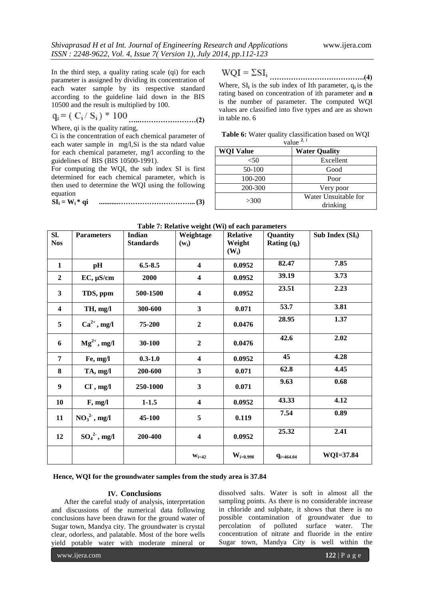In the third step, a quality rating scale (qi) for each parameter is assigned by dividing its concentration of each water sample by its respective standard according to the guideline laid down in the BIS 10500 and the result is multiplied by 100.

$$
q_i = (C_i / S_i) * 100
$$
 (2)

Where, qi is the quality rating,

Ci is the concentration of each chemical parameter of each water sample in mg/l,Si is the sta ndard value for each chemical parameter, mg/l according to the guidelines of BIS (BIS 10500-1991).

For computing the WQI, the sub index SI is first determined for each chemical parameter, which is then used to determine the WQI using the following equation

$$
SI_i = W_i * qi
$$
 \n $\dots$  \n $(3)$ 

**………………………………….(4)** Where, SI**<sup>i</sup>** is the sub index of Ith parameter, q**i** is the rating based on concentration of ith parameter and **n**  is the number of parameter. The computed WQI values are classified into five types and are as shown in table no. 6

| Table 6: Water quality classification based on WQI |  |
|----------------------------------------------------|--|
| $\frac{1}{2}$                                      |  |

| vaiue            |                                  |  |  |  |  |
|------------------|----------------------------------|--|--|--|--|
| <b>WQI Value</b> | <b>Water Quality</b>             |  |  |  |  |
| $50$             | Excellent                        |  |  |  |  |
| 50-100           | Good                             |  |  |  |  |
| 100-200          | Poor                             |  |  |  |  |
| 200-300          | Very poor                        |  |  |  |  |
| >300             | Water Unsuitable for<br>drinking |  |  |  |  |

| SI.<br><b>Nos</b>       | <b>Parameters</b> | <b>Indian</b><br><b>Standards</b> | $\overline{ }$<br>Weightage<br>$(w_i)$ | <b>Relative</b><br>Weight<br>$(W_i)$ | Quantity<br><b>Rating</b> $(q_i)$ | Sub Index $(SI_i)$ |
|-------------------------|-------------------|-----------------------------------|----------------------------------------|--------------------------------------|-----------------------------------|--------------------|
| $\mathbf{1}$            | pH                | $6.5 - 8.5$                       | $\overline{\mathbf{4}}$                | 0.0952                               | 82.47                             | 7.85               |
| $\mathbf{2}$            | $EC, \mu S/cm$    | 2000                              | $\overline{\mathbf{4}}$                | 0.0952                               | 39.19                             | 3.73               |
| 3                       | TDS, ppm          | 500-1500                          | $\overline{\mathbf{4}}$                | 0.0952                               | 23.51                             | 2.23               |
| $\overline{\mathbf{4}}$ | TH, mg/l          | 300-600                           | 3                                      | 0.071                                | 53.7                              | 3.81               |
| 5                       | $Ca^{2+}$ , mg/l  | 75-200                            | $\overline{2}$                         | 0.0476                               | 28.95                             | 1.37               |
| 6                       | $Mg^{2+}$ , mg/l  | 30-100                            | $\boldsymbol{2}$                       | 0.0476                               | 42.6                              | 2.02               |
| 7                       | Fe, mg/l          | $0.3 - 1.0$                       | $\boldsymbol{4}$                       | 0.0952                               | 45                                | 4.28               |
| 8                       | TA, mg/l          | 200-600                           | $\overline{\mathbf{3}}$                | 0.071                                | 62.8                              | 4.45               |
| 9                       | $CI$ , mg/l       | 250-1000                          | $\overline{\mathbf{3}}$                | 0.071                                | 9.63                              | 0.68               |
| 10                      | F, mg/l           | $1 - 1.5$                         | $\overline{\mathbf{4}}$                | 0.0952                               | 43.33                             | 4.12               |
| 11                      | $NO32$ , mg/l     | 45-100                            | 5                                      | 0.119                                | 7.54                              | 0.89               |
| 12                      | $SO_4^2$ , mg/l   | 200-400                           | $\boldsymbol{4}$                       | 0.0952                               | 25.32                             | 2.41               |
|                         |                   |                                   | $W_{i=42}$                             | $\rm W_{i=0.998}$                    | $q_{i=464.04}$                    | WQI=37.84          |

# **Table 7: Relative weight (Wi) of each parameters**

**Hence, WQI for the groundwater samples from the study area is 37.84**

# **IV. Conclusions**

After the careful study of analysis, interpretation and discussions of the numerical data following conclusions have been drawn for the ground water of Sugar town, Mandya city. The groundwater is crystal clear, odorless, and palatable. Most of the bore wells yield potable water with moderate mineral or dissolved salts. Water is soft in almost all the sampling points. As there is no considerable increase in chloride and sulphate, it shows that there is no possible contamination of groundwater due to percolation of polluted surface water. The concentration of nitrate and fluoride in the entire Sugar town, Mandya City is well within the